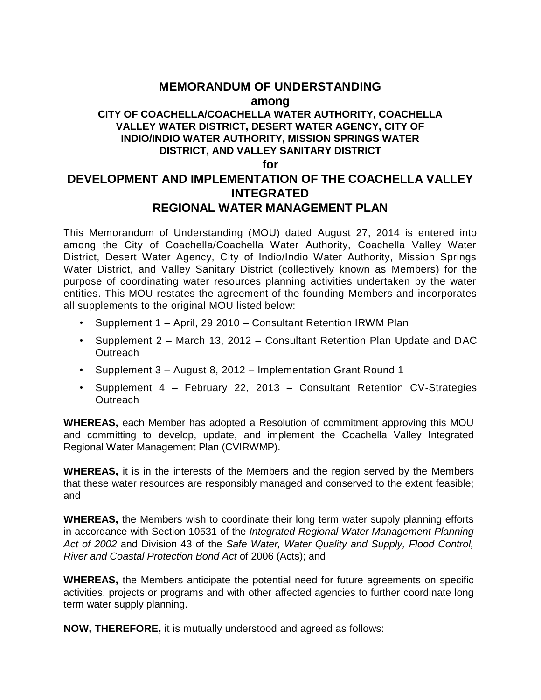# **MEMORANDUM OF UNDERSTANDING**

#### **among**

# **CITY OF COACHELLA/COACHELLA WATER AUTHORITY, COACHELLA VALLEY WATER DISTRICT, DESERT WATER AGENCY, CITY OF INDIO/INDIO WATER AUTHORITY, MISSION SPRINGS WATER DISTRICT, AND VALLEY SANITARY DISTRICT**

#### **for**

# **DEVELOPMENT AND IMPLEMENTATION OF THE COACHELLA VALLEY INTEGRATED REGIONAL WATER MANAGEMENT PLAN**

This Memorandum of Understanding (MOU) dated August 27, 2014 is entered into among the City of Coachella/Coachella Water Authority, Coachella Valley Water District, Desert Water Agency, City of Indio/Indio Water Authority, Mission Springs Water District, and Valley Sanitary District (collectively known as Members) for the purpose of coordinating water resources planning activities undertaken by the water entities. This MOU restates the agreement of the founding Members and incorporates all supplements to the original MOU listed below:

- Supplement 1 April, 29 2010 Consultant Retention IRWM Plan
- Supplement 2 March 13, 2012 Consultant Retention Plan Update and DAC **Outreach**
- Supplement 3 August 8, 2012 Implementation Grant Round 1
- Supplement 4 February 22, 2013 Consultant Retention CV-Strategies **Outreach**

**WHEREAS,** each Member has adopted a Resolution of commitment approving this MOU and committing to develop, update, and implement the Coachella Valley Integrated Regional Water Management Plan (CVIRWMP).

**WHEREAS,** it is in the interests of the Members and the region served by the Members that these water resources are responsibly managed and conserved to the extent feasible; and

**WHEREAS,** the Members wish to coordinate their long term water supply planning efforts in accordance with Section 10531 of the *Integrated Regional Water Management Planning Act of 2002* and Division 43 of the *Safe Water, Water Quality and Supply, Flood Control, River and Coastal Protection Bond Act* of 2006 (Acts); and

**WHEREAS,** the Members anticipate the potential need for future agreements on specific activities, projects or programs and with other affected agencies to further coordinate long term water supply planning.

**NOW, THEREFORE,** it is mutually understood and agreed as follows: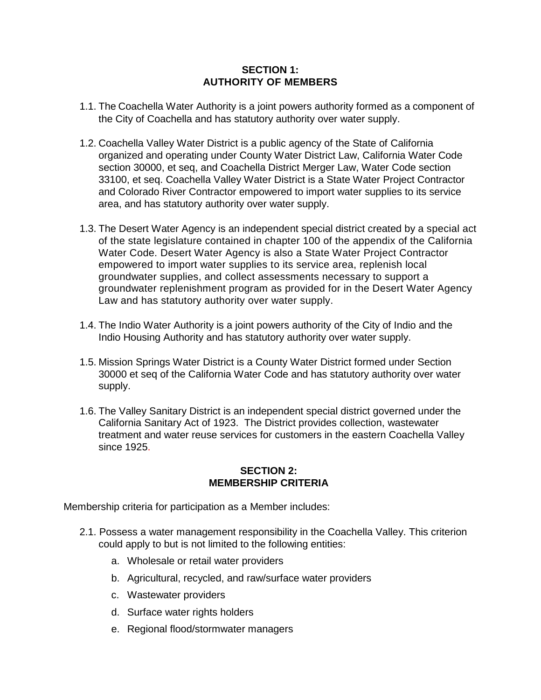### **SECTION 1: AUTHORITY OF MEMBERS**

- 1.1. The Coachella Water Authority is a joint powers authority formed as a component of the City of Coachella and has statutory authority over water supply.
- 1.2. Coachella Valley Water District is a public agency of the State of California organized and operating under County Water District Law, California Water Code section 30000, et seq, and Coachella District Merger Law, Water Code section 33100, et seq. Coachella Valley Water District is a State Water Project Contractor and Colorado River Contractor empowered to import water supplies to its service area, and has statutory authority over water supply.
- 1.3. The Desert Water Agency is an independent special district created by a special act of the state legislature contained in chapter 100 of the appendix of the California Water Code. Desert Water Agency is also a State Water Project Contractor empowered to import water supplies to its service area, replenish local groundwater supplies, and collect assessments necessary to support a groundwater replenishment program as provided for in the Desert Water Agency Law and has statutory authority over water supply.
- 1.4. The Indio Water Authority is a joint powers authority of the City of Indio and the Indio Housing Authority and has statutory authority over water supply.
- 1.5. Mission Springs Water District is a County Water District formed under Section 30000 et seq of the California Water Code and has statutory authority over water supply.
- 1.6. The Valley Sanitary District is an independent special district governed under the California Sanitary Act of 1923. The District provides collection, wastewater treatment and water reuse services for customers in the eastern Coachella Valley since 1925.

#### **SECTION 2: MEMBERSHIP CRITERIA**

Membership criteria for participation as a Member includes:

- 2.1. Possess a water management responsibility in the Coachella Valley. This criterion could apply to but is not limited to the following entities:
	- a. Wholesale or retail water providers
	- b. Agricultural, recycled, and raw/surface water providers
	- c. Wastewater providers
	- d. Surface water rights holders
	- e. Regional flood/stormwater managers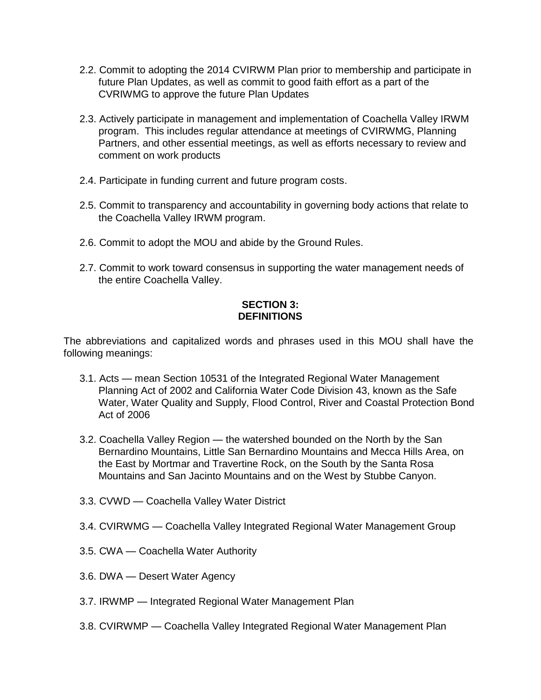- 2.2. Commit to adopting the 2014 CVIRWM Plan prior to membership and participate in future Plan Updates, as well as commit to good faith effort as a part of the CVRIWMG to approve the future Plan Updates
- 2.3. Actively participate in management and implementation of Coachella Valley IRWM program. This includes regular attendance at meetings of CVIRWMG, Planning Partners, and other essential meetings, as well as efforts necessary to review and comment on work products
- 2.4. Participate in funding current and future program costs.
- 2.5. Commit to transparency and accountability in governing body actions that relate to the Coachella Valley IRWM program.
- 2.6. Commit to adopt the MOU and abide by the Ground Rules.
- 2.7. Commit to work toward consensus in supporting the water management needs of the entire Coachella Valley.

## **SECTION 3: DEFINITIONS**

The abbreviations and capitalized words and phrases used in this MOU shall have the following meanings:

- 3.1. Acts mean Section 10531 of the Integrated Regional Water Management Planning Act of 2002 and California Water Code Division 43, known as the Safe Water, Water Quality and Supply, Flood Control, River and Coastal Protection Bond Act of 2006
- 3.2. Coachella Valley Region the watershed bounded on the North by the San Bernardino Mountains, Little San Bernardino Mountains and Mecca Hills Area, on the East by Mortmar and Travertine Rock, on the South by the Santa Rosa Mountains and San Jacinto Mountains and on the West by Stubbe Canyon.
- 3.3. CVWD Coachella Valley Water District
- 3.4. CVIRWMG Coachella Valley Integrated Regional Water Management Group
- 3.5. CWA Coachella Water Authority
- 3.6. DWA Desert Water Agency
- 3.7. IRWMP Integrated Regional Water Management Plan
- 3.8. CVIRWMP Coachella Valley Integrated Regional Water Management Plan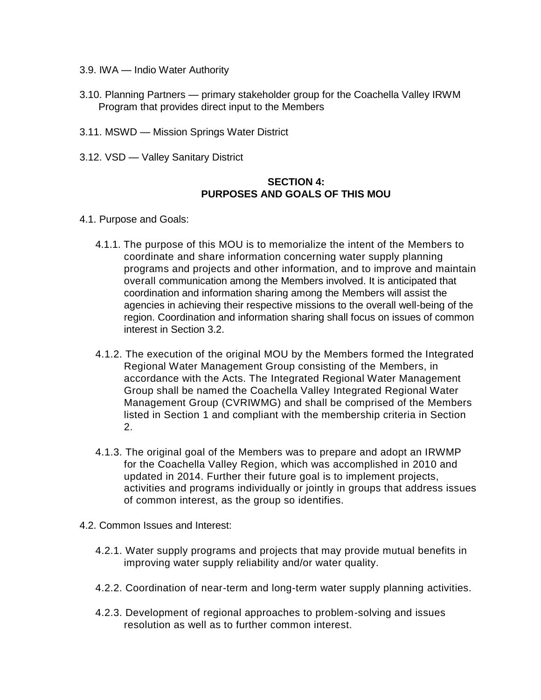- 3.9. IWA Indio Water Authority
- 3.10. Planning Partners primary stakeholder group for the Coachella Valley IRWM Program that provides direct input to the Members
- 3.11. MSWD Mission Springs Water District
- 3.12. VSD Valley Sanitary District

#### **SECTION 4: PURPOSES AND GOALS OF THIS MOU**

- 4.1. Purpose and Goals:
	- 4.1.1. The purpose of this MOU is to memorialize the intent of the Members to coordinate and share information concerning water supply planning programs and projects and other information, and to improve and maintain overall communication among the Members involved. It is anticipated that coordination and information sharing among the Members will assist the agencies in achieving their respective missions to the overall well-being of the region. Coordination and information sharing shall focus on issues of common interest in Section 3.2.
	- 4.1.2. The execution of the original MOU by the Members formed the Integrated Regional Water Management Group consisting of the Members, in accordance with the Acts. The Integrated Regional Water Management Group shall be named the Coachella Valley Integrated Regional Water Management Group (CVRIWMG) and shall be comprised of the Members listed in Section 1 and compliant with the membership criteria in Section 2.
	- 4.1.3. The original goal of the Members was to prepare and adopt an IRWMP for the Coachella Valley Region, which was accomplished in 2010 and updated in 2014. Further their future goal is to implement projects, activities and programs individually or jointly in groups that address issues of common interest, as the group so identifies.
- 4.2. Common Issues and Interest:
	- 4.2.1. Water supply programs and projects that may provide mutual benefits in improving water supply reliability and/or water quality.
	- 4.2.2. Coordination of near-term and long-term water supply planning activities.
	- 4.2.3. Development of regional approaches to problem-solving and issues resolution as well as to further common interest.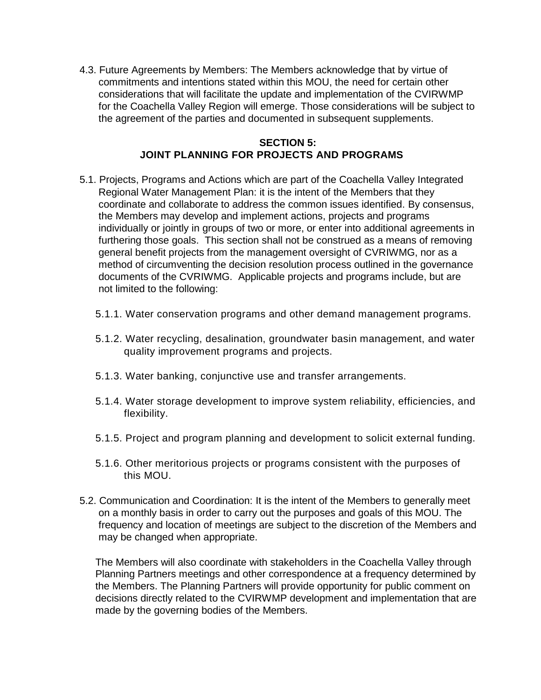4.3. Future Agreements by Members: The Members acknowledge that by virtue of commitments and intentions stated within this MOU, the need for certain other considerations that will facilitate the update and implementation of the CVIRWMP for the Coachella Valley Region will emerge. Those considerations will be subject to the agreement of the parties and documented in subsequent supplements.

#### **SECTION 5: JOINT PLANNING FOR PROJECTS AND PROGRAMS**

- 5.1. Projects, Programs and Actions which are part of the Coachella Valley Integrated Regional Water Management Plan: it is the intent of the Members that they coordinate and collaborate to address the common issues identified. By consensus, the Members may develop and implement actions, projects and programs individually or jointly in groups of two or more, or enter into additional agreements in furthering those goals. This section shall not be construed as a means of removing general benefit projects from the management oversight of CVRIWMG, nor as a method of circumventing the decision resolution process outlined in the governance documents of the CVRIWMG. Applicable projects and programs include, but are not limited to the following:
	- 5.1.1. Water conservation programs and other demand management programs.
	- 5.1.2. Water recycling, desalination, groundwater basin management, and water quality improvement programs and projects.
	- 5.1.3. Water banking, conjunctive use and transfer arrangements.
	- 5.1.4. Water storage development to improve system reliability, efficiencies, and flexibility.
	- 5.1.5. Project and program planning and development to solicit external funding.
	- 5.1.6. Other meritorious projects or programs consistent with the purposes of this MOU.
- 5.2. Communication and Coordination: It is the intent of the Members to generally meet on a monthly basis in order to carry out the purposes and goals of this MOU. The frequency and location of meetings are subject to the discretion of the Members and may be changed when appropriate.

The Members will also coordinate with stakeholders in the Coachella Valley through Planning Partners meetings and other correspondence at a frequency determined by the Members. The Planning Partners will provide opportunity for public comment on decisions directly related to the CVIRWMP development and implementation that are made by the governing bodies of the Members.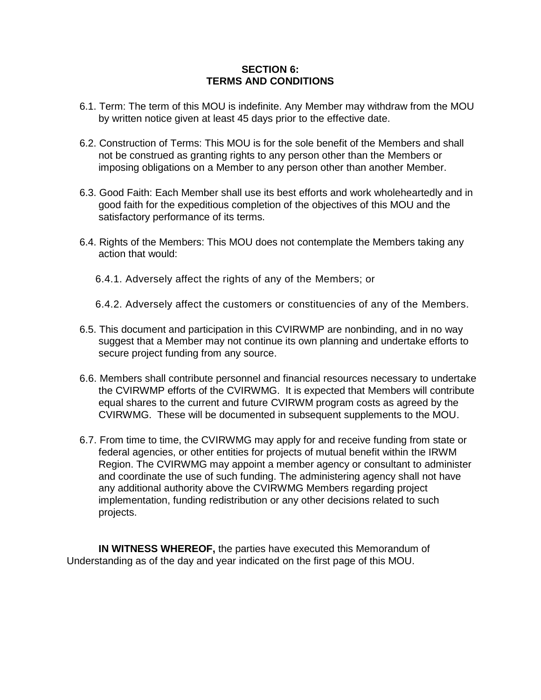#### **SECTION 6: TERMS AND CONDITIONS**

- 6.1. Term: The term of this MOU is indefinite. Any Member may withdraw from the MOU by written notice given at least 45 days prior to the effective date.
- 6.2. Construction of Terms: This MOU is for the sole benefit of the Members and shall not be construed as granting rights to any person other than the Members or imposing obligations on a Member to any person other than another Member.
- 6.3. Good Faith: Each Member shall use its best efforts and work wholeheartedly and in good faith for the expeditious completion of the objectives of this MOU and the satisfactory performance of its terms.
- 6.4. Rights of the Members: This MOU does not contemplate the Members taking any action that would:
	- 6.4.1. Adversely affect the rights of any of the Members; or
	- 6.4.2. Adversely affect the customers or constituencies of any of the Members.
- 6.5. This document and participation in this CVIRWMP are nonbinding, and in no way suggest that a Member may not continue its own planning and undertake efforts to secure project funding from any source.
- 6.6. Members shall contribute personnel and financial resources necessary to undertake the CVIRWMP efforts of the CVIRWMG. It is expected that Members will contribute equal shares to the current and future CVIRWM program costs as agreed by the CVIRWMG. These will be documented in subsequent supplements to the MOU.
- 6.7. From time to time, the CVIRWMG may apply for and receive funding from state or federal agencies, or other entities for projects of mutual benefit within the IRWM Region. The CVIRWMG may appoint a member agency or consultant to administer and coordinate the use of such funding. The administering agency shall not have any additional authority above the CVIRWMG Members regarding project implementation, funding redistribution or any other decisions related to such projects.

**IN WITNESS WHEREOF,** the parties have executed this Memorandum of Understanding as of the day and year indicated on the first page of this MOU.